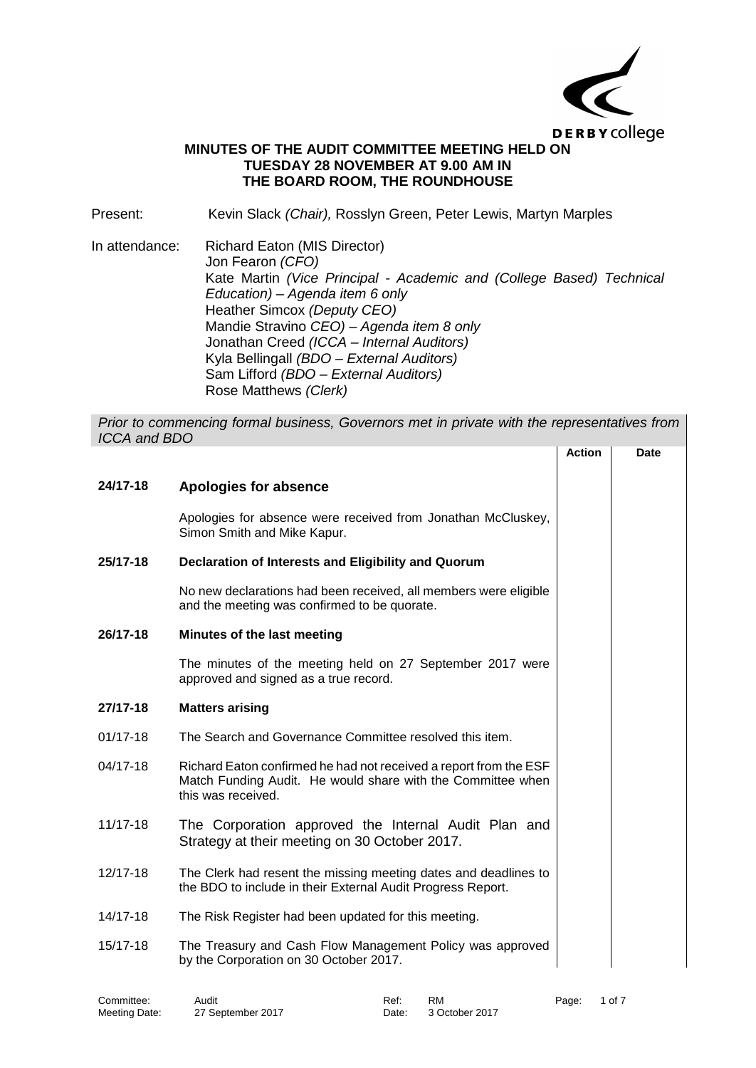

## **MINUTES OF THE AUDIT COMMITTEE MEETING HELD ON TUESDAY 28 NOVEMBER AT 9.00 AM IN THE BOARD ROOM, THE ROUNDHOUSE**

Present: Kevin Slack *(Chair),* Rosslyn Green, Peter Lewis, Martyn Marples

In attendance: Richard Eaton (MIS Director) Jon Fearon *(CFO)* Kate Martin *(Vice Principal - Academic and (College Based) Technical Education) – Agenda item 6 only* Heather Simcox *(Deputy CEO)* Mandie Stravino *CEO) – Agenda item 8 only* Jonathan Creed *(ICCA – Internal Auditors)* Kyla Bellingall *(BDO – External Auditors)* Sam Lifford *(BDO – External Auditors)* Rose Matthews *(Clerk)*

*Prior to commencing formal business, Governors met in private with the representatives from ICCA and BDO*

|              |                                                                                                                                                        | <b>Action</b> | <b>Date</b> |
|--------------|--------------------------------------------------------------------------------------------------------------------------------------------------------|---------------|-------------|
| 24/17-18     | <b>Apologies for absence</b>                                                                                                                           |               |             |
|              | Apologies for absence were received from Jonathan McCluskey,<br>Simon Smith and Mike Kapur.                                                            |               |             |
| 25/17-18     | Declaration of Interests and Eligibility and Quorum                                                                                                    |               |             |
|              | No new declarations had been received, all members were eligible<br>and the meeting was confirmed to be quorate.                                       |               |             |
| 26/17-18     | Minutes of the last meeting                                                                                                                            |               |             |
|              | The minutes of the meeting held on 27 September 2017 were<br>approved and signed as a true record.                                                     |               |             |
| 27/17-18     | <b>Matters arising</b>                                                                                                                                 |               |             |
| $01/17 - 18$ | The Search and Governance Committee resolved this item.                                                                                                |               |             |
| 04/17-18     | Richard Eaton confirmed he had not received a report from the ESF<br>Match Funding Audit. He would share with the Committee when<br>this was received. |               |             |
| 11/17-18     | The Corporation approved the Internal Audit Plan and<br>Strategy at their meeting on 30 October 2017.                                                  |               |             |
| 12/17-18     | The Clerk had resent the missing meeting dates and deadlines to<br>the BDO to include in their External Audit Progress Report.                         |               |             |
| 14/17-18     | The Risk Register had been updated for this meeting.                                                                                                   |               |             |
| 15/17-18     | The Treasury and Cash Flow Management Policy was approved<br>by the Corporation on 30 October 2017.                                                    |               |             |
|              |                                                                                                                                                        |               |             |

Committee: Audit Audit Ref: RM Page: 1 of 7

Meeting Date: 27 September 2017 Date: 3 October 2017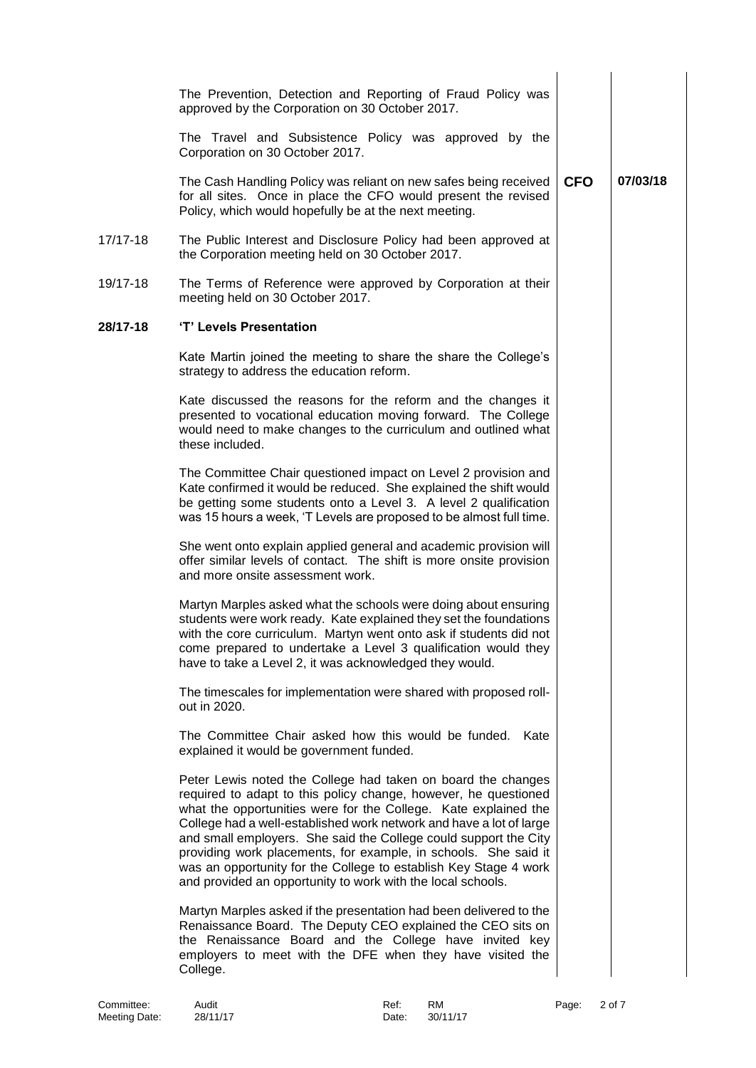|          | The Prevention, Detection and Reporting of Fraud Policy was<br>approved by the Corporation on 30 October 2017.                                                                                                                                                                                                                                                                                                                                                                                                                                      |            |          |
|----------|-----------------------------------------------------------------------------------------------------------------------------------------------------------------------------------------------------------------------------------------------------------------------------------------------------------------------------------------------------------------------------------------------------------------------------------------------------------------------------------------------------------------------------------------------------|------------|----------|
|          | The Travel and Subsistence Policy was approved by the<br>Corporation on 30 October 2017.                                                                                                                                                                                                                                                                                                                                                                                                                                                            |            |          |
|          | The Cash Handling Policy was reliant on new safes being received<br>for all sites. Once in place the CFO would present the revised<br>Policy, which would hopefully be at the next meeting.                                                                                                                                                                                                                                                                                                                                                         | <b>CFO</b> | 07/03/18 |
| 17/17-18 | The Public Interest and Disclosure Policy had been approved at<br>the Corporation meeting held on 30 October 2017.                                                                                                                                                                                                                                                                                                                                                                                                                                  |            |          |
| 19/17-18 | The Terms of Reference were approved by Corporation at their<br>meeting held on 30 October 2017.                                                                                                                                                                                                                                                                                                                                                                                                                                                    |            |          |
| 28/17-18 | 'T' Levels Presentation                                                                                                                                                                                                                                                                                                                                                                                                                                                                                                                             |            |          |
|          | Kate Martin joined the meeting to share the share the College's<br>strategy to address the education reform.                                                                                                                                                                                                                                                                                                                                                                                                                                        |            |          |
|          | Kate discussed the reasons for the reform and the changes it<br>presented to vocational education moving forward. The College<br>would need to make changes to the curriculum and outlined what<br>these included.                                                                                                                                                                                                                                                                                                                                  |            |          |
|          | The Committee Chair questioned impact on Level 2 provision and<br>Kate confirmed it would be reduced. She explained the shift would<br>be getting some students onto a Level 3. A level 2 qualification<br>was 15 hours a week, 'T Levels are proposed to be almost full time.                                                                                                                                                                                                                                                                      |            |          |
|          | She went onto explain applied general and academic provision will<br>offer similar levels of contact. The shift is more onsite provision<br>and more onsite assessment work.                                                                                                                                                                                                                                                                                                                                                                        |            |          |
|          | Martyn Marples asked what the schools were doing about ensuring<br>students were work ready. Kate explained they set the foundations<br>with the core curriculum. Martyn went onto ask if students did not<br>come prepared to undertake a Level 3 qualification would they<br>have to take a Level 2, it was acknowledged they would.                                                                                                                                                                                                              |            |          |
|          | The timescales for implementation were shared with proposed roll-<br>out in 2020.                                                                                                                                                                                                                                                                                                                                                                                                                                                                   |            |          |
|          | The Committee Chair asked how this would be funded. Kate<br>explained it would be government funded.                                                                                                                                                                                                                                                                                                                                                                                                                                                |            |          |
|          | Peter Lewis noted the College had taken on board the changes<br>required to adapt to this policy change, however, he questioned<br>what the opportunities were for the College. Kate explained the<br>College had a well-established work network and have a lot of large<br>and small employers. She said the College could support the City<br>providing work placements, for example, in schools. She said it<br>was an opportunity for the College to establish Key Stage 4 work<br>and provided an opportunity to work with the local schools. |            |          |
|          | Martyn Marples asked if the presentation had been delivered to the<br>Renaissance Board. The Deputy CEO explained the CEO sits on<br>the Renaissance Board and the College have invited key<br>employers to meet with the DFE when they have visited the<br>College.                                                                                                                                                                                                                                                                                |            |          |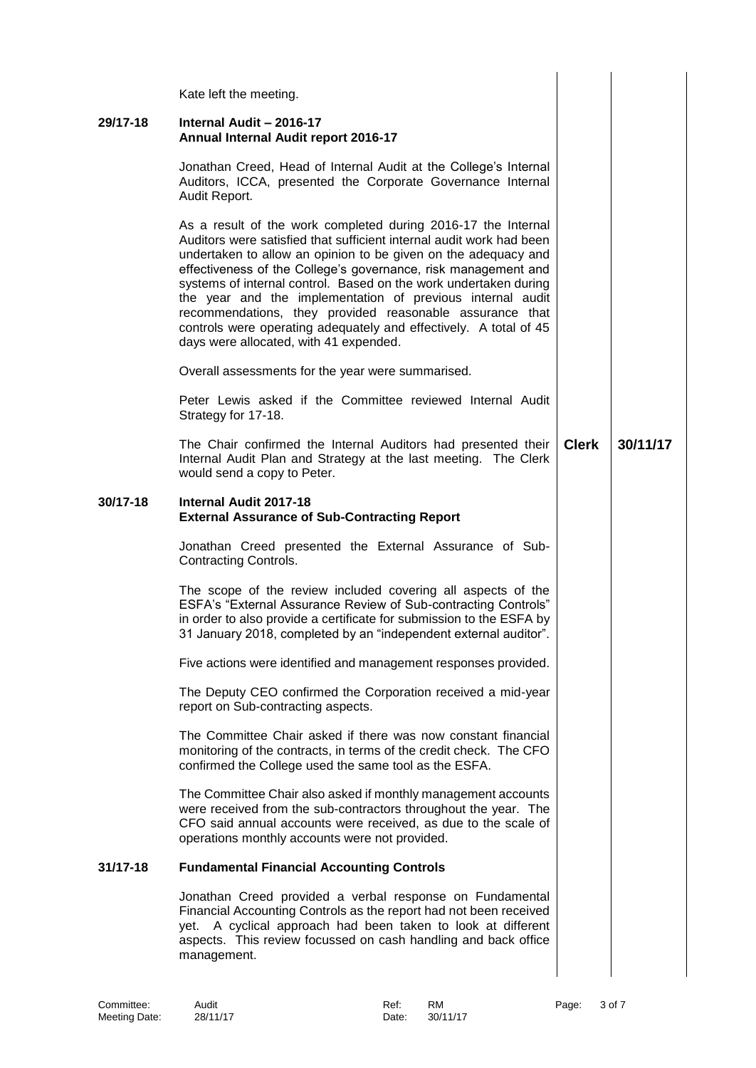|          | Kate left the meeting.                                                                                                                                                                                                                                                                                                                                                                                                                                                                                                                                                                 |              |          |  |
|----------|----------------------------------------------------------------------------------------------------------------------------------------------------------------------------------------------------------------------------------------------------------------------------------------------------------------------------------------------------------------------------------------------------------------------------------------------------------------------------------------------------------------------------------------------------------------------------------------|--------------|----------|--|
| 29/17-18 | Internal Audit - 2016-17<br>Annual Internal Audit report 2016-17                                                                                                                                                                                                                                                                                                                                                                                                                                                                                                                       |              |          |  |
|          | Jonathan Creed, Head of Internal Audit at the College's Internal<br>Auditors, ICCA, presented the Corporate Governance Internal<br>Audit Report.                                                                                                                                                                                                                                                                                                                                                                                                                                       |              |          |  |
|          | As a result of the work completed during 2016-17 the Internal<br>Auditors were satisfied that sufficient internal audit work had been<br>undertaken to allow an opinion to be given on the adequacy and<br>effectiveness of the College's governance, risk management and<br>systems of internal control. Based on the work undertaken during<br>the year and the implementation of previous internal audit<br>recommendations, they provided reasonable assurance that<br>controls were operating adequately and effectively. A total of 45<br>days were allocated, with 41 expended. |              |          |  |
|          | Overall assessments for the year were summarised.                                                                                                                                                                                                                                                                                                                                                                                                                                                                                                                                      |              |          |  |
|          | Peter Lewis asked if the Committee reviewed Internal Audit<br>Strategy for 17-18.                                                                                                                                                                                                                                                                                                                                                                                                                                                                                                      |              |          |  |
|          | The Chair confirmed the Internal Auditors had presented their<br>Internal Audit Plan and Strategy at the last meeting. The Clerk<br>would send a copy to Peter.                                                                                                                                                                                                                                                                                                                                                                                                                        | <b>Clerk</b> | 30/11/17 |  |
| 30/17-18 | Internal Audit 2017-18<br><b>External Assurance of Sub-Contracting Report</b>                                                                                                                                                                                                                                                                                                                                                                                                                                                                                                          |              |          |  |
|          | Jonathan Creed presented the External Assurance of Sub-<br>Contracting Controls.                                                                                                                                                                                                                                                                                                                                                                                                                                                                                                       |              |          |  |
|          | The scope of the review included covering all aspects of the<br>ESFA's "External Assurance Review of Sub-contracting Controls"<br>in order to also provide a certificate for submission to the ESFA by<br>31 January 2018, completed by an "independent external auditor".                                                                                                                                                                                                                                                                                                             |              |          |  |
|          | Five actions were identified and management responses provided.                                                                                                                                                                                                                                                                                                                                                                                                                                                                                                                        |              |          |  |
|          | The Deputy CEO confirmed the Corporation received a mid-year<br>report on Sub-contracting aspects.                                                                                                                                                                                                                                                                                                                                                                                                                                                                                     |              |          |  |
|          | The Committee Chair asked if there was now constant financial<br>monitoring of the contracts, in terms of the credit check. The CFO<br>confirmed the College used the same tool as the ESFA.                                                                                                                                                                                                                                                                                                                                                                                           |              |          |  |
|          | The Committee Chair also asked if monthly management accounts<br>were received from the sub-contractors throughout the year. The<br>CFO said annual accounts were received, as due to the scale of<br>operations monthly accounts were not provided.                                                                                                                                                                                                                                                                                                                                   |              |          |  |
| 31/17-18 | <b>Fundamental Financial Accounting Controls</b>                                                                                                                                                                                                                                                                                                                                                                                                                                                                                                                                       |              |          |  |
|          | Jonathan Creed provided a verbal response on Fundamental<br>Financial Accounting Controls as the report had not been received<br>yet. A cyclical approach had been taken to look at different<br>aspects. This review focussed on cash handling and back office<br>management.                                                                                                                                                                                                                                                                                                         |              |          |  |
|          |                                                                                                                                                                                                                                                                                                                                                                                                                                                                                                                                                                                        |              |          |  |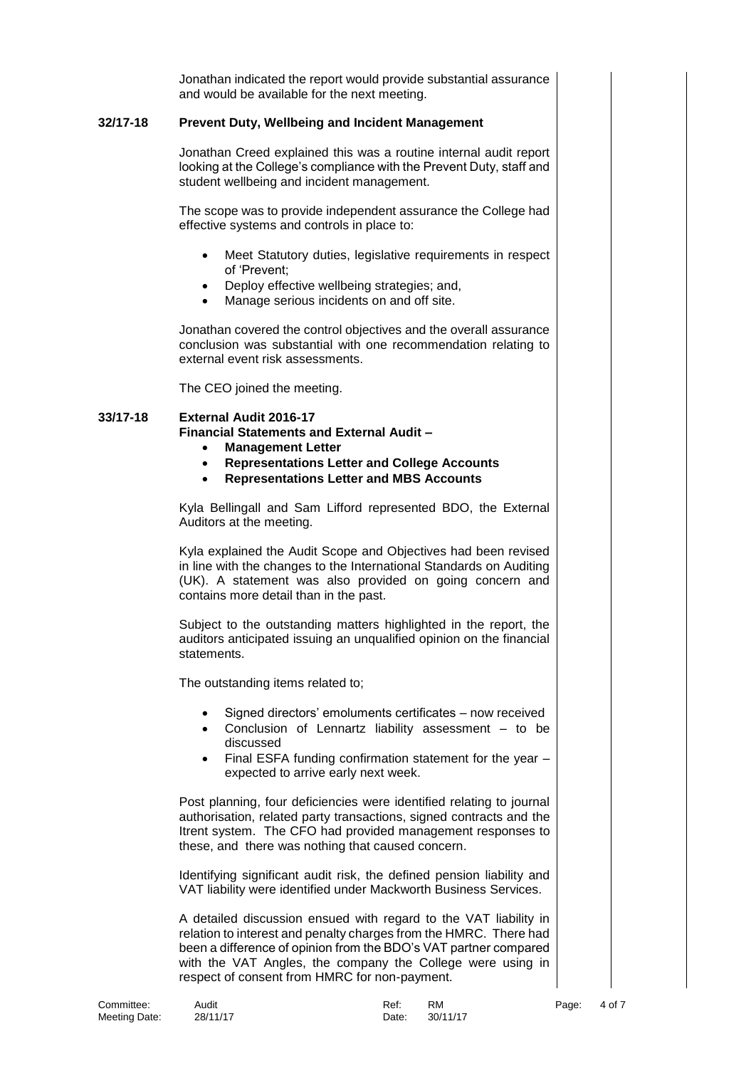Jonathan indicated the report would provide substantial assurance and would be available for the next meeting.

## **32/17-18 Prevent Duty, Wellbeing and Incident Management**

Jonathan Creed explained this was a routine internal audit report looking at the College's compliance with the Prevent Duty, staff and student wellbeing and incident management.

The scope was to provide independent assurance the College had effective systems and controls in place to:

- Meet Statutory duties, legislative requirements in respect of 'Prevent;
- Deploy effective wellbeing strategies; and,
- Manage serious incidents on and off site.

Jonathan covered the control objectives and the overall assurance conclusion was substantial with one recommendation relating to external event risk assessments.

The CEO joined the meeting.

## **33/17-18 External Audit 2016-17 Financial Statements and External Audit –**

- **Management Letter**
- **Representations Letter and College Accounts**
- **Representations Letter and MBS Accounts**

Kyla Bellingall and Sam Lifford represented BDO, the External Auditors at the meeting.

Kyla explained the Audit Scope and Objectives had been revised in line with the changes to the International Standards on Auditing (UK). A statement was also provided on going concern and contains more detail than in the past.

Subject to the outstanding matters highlighted in the report, the auditors anticipated issuing an unqualified opinion on the financial statements.

The outstanding items related to;

- Signed directors' emoluments certificates now received
- Conclusion of Lennartz liability assessment to be discussed
- Final ESFA funding confirmation statement for the year expected to arrive early next week.

Post planning, four deficiencies were identified relating to journal authorisation, related party transactions, signed contracts and the Itrent system. The CFO had provided management responses to these, and there was nothing that caused concern.

Identifying significant audit risk, the defined pension liability and VAT liability were identified under Mackworth Business Services.

A detailed discussion ensued with regard to the VAT liability in relation to interest and penalty charges from the HMRC. There had been a difference of opinion from the BDO's VAT partner compared with the VAT Angles, the company the College were using in respect of consent from HMRC for non-payment.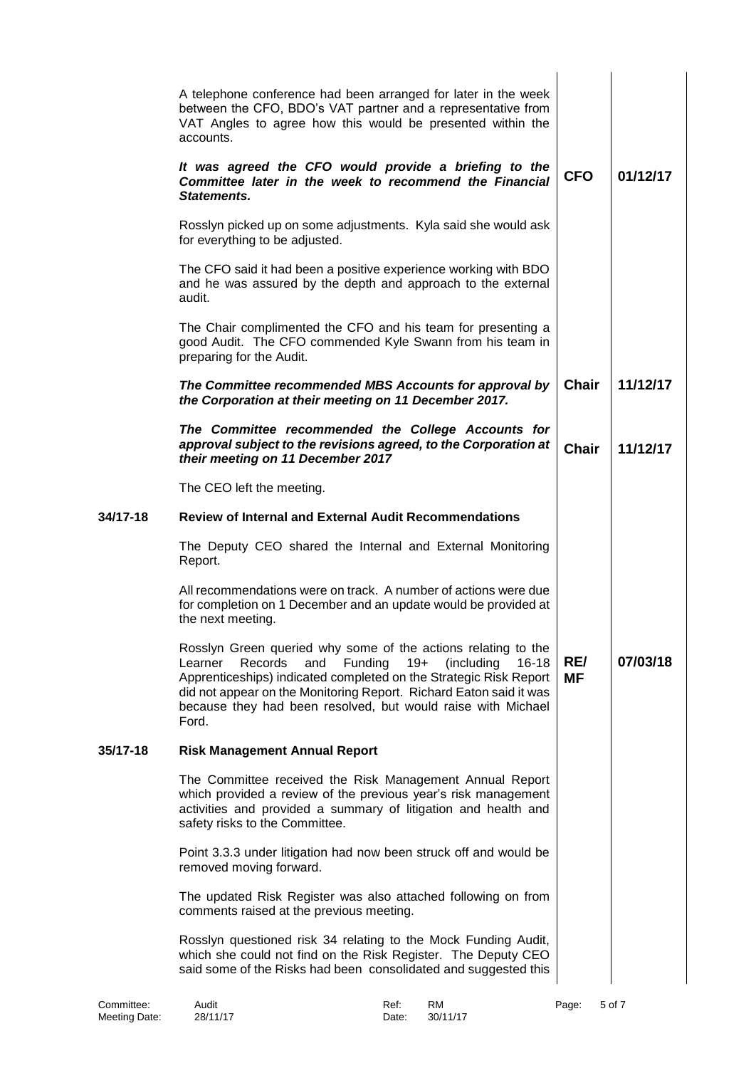|          | A telephone conference had been arranged for later in the week<br>between the CFO, BDO's VAT partner and a representative from<br>VAT Angles to agree how this would be presented within the<br>accounts.                                                                                                                                                     |                  |          |
|----------|---------------------------------------------------------------------------------------------------------------------------------------------------------------------------------------------------------------------------------------------------------------------------------------------------------------------------------------------------------------|------------------|----------|
|          | It was agreed the CFO would provide a briefing to the<br>Committee later in the week to recommend the Financial<br>Statements.                                                                                                                                                                                                                                | <b>CFO</b>       | 01/12/17 |
|          | Rosslyn picked up on some adjustments. Kyla said she would ask<br>for everything to be adjusted.                                                                                                                                                                                                                                                              |                  |          |
|          | The CFO said it had been a positive experience working with BDO<br>and he was assured by the depth and approach to the external<br>audit.                                                                                                                                                                                                                     |                  |          |
|          | The Chair complimented the CFO and his team for presenting a<br>good Audit. The CFO commended Kyle Swann from his team in<br>preparing for the Audit.                                                                                                                                                                                                         |                  |          |
|          | The Committee recommended MBS Accounts for approval by<br>the Corporation at their meeting on 11 December 2017.                                                                                                                                                                                                                                               | <b>Chair</b>     | 11/12/17 |
|          | The Committee recommended the College Accounts for<br>approval subject to the revisions agreed, to the Corporation at<br>their meeting on 11 December 2017                                                                                                                                                                                                    | <b>Chair</b>     | 11/12/17 |
|          | The CEO left the meeting.                                                                                                                                                                                                                                                                                                                                     |                  |          |
| 34/17-18 | <b>Review of Internal and External Audit Recommendations</b>                                                                                                                                                                                                                                                                                                  |                  |          |
|          | The Deputy CEO shared the Internal and External Monitoring<br>Report.                                                                                                                                                                                                                                                                                         |                  |          |
|          | All recommendations were on track. A number of actions were due<br>for completion on 1 December and an update would be provided at<br>the next meeting.                                                                                                                                                                                                       |                  |          |
|          | Rosslyn Green queried why some of the actions relating to the<br>Records<br>and<br>Funding<br>$19+$<br>(including<br>Learner<br>$16 - 18$<br>Apprenticeships) indicated completed on the Strategic Risk Report<br>did not appear on the Monitoring Report. Richard Eaton said it was<br>because they had been resolved, but would raise with Michael<br>Ford. | RE/<br><b>MF</b> | 07/03/18 |
| 35/17-18 | <b>Risk Management Annual Report</b>                                                                                                                                                                                                                                                                                                                          |                  |          |
|          | The Committee received the Risk Management Annual Report<br>which provided a review of the previous year's risk management<br>activities and provided a summary of litigation and health and<br>safety risks to the Committee.                                                                                                                                |                  |          |
|          | Point 3.3.3 under litigation had now been struck off and would be<br>removed moving forward.                                                                                                                                                                                                                                                                  |                  |          |
|          | The updated Risk Register was also attached following on from<br>comments raised at the previous meeting.                                                                                                                                                                                                                                                     |                  |          |
|          | Rosslyn questioned risk 34 relating to the Mock Funding Audit,<br>which she could not find on the Risk Register. The Deputy CEO<br>said some of the Risks had been consolidated and suggested this                                                                                                                                                            |                  |          |
|          |                                                                                                                                                                                                                                                                                                                                                               |                  |          |

Committee: Audit Ref: RM Page: 5 of 7

Committee:<br>Meeting Date: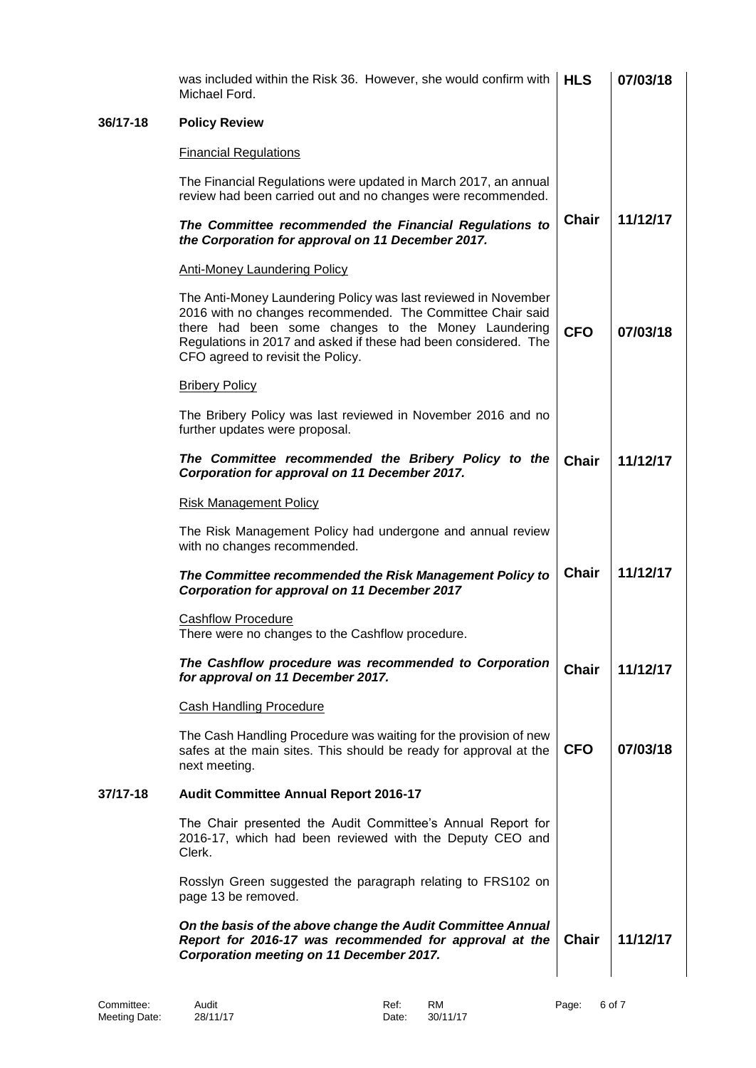|          | On the basis of the above change the Audit Committee Annual<br>Report for 2016-17 was recommended for approval at the<br>Corporation meeting on 11 December 2017.                                                                                                                           | <b>Chair</b> | 11/12/17 |
|----------|---------------------------------------------------------------------------------------------------------------------------------------------------------------------------------------------------------------------------------------------------------------------------------------------|--------------|----------|
|          | Rosslyn Green suggested the paragraph relating to FRS102 on<br>page 13 be removed.                                                                                                                                                                                                          |              |          |
|          | The Chair presented the Audit Committee's Annual Report for<br>2016-17, which had been reviewed with the Deputy CEO and<br>Clerk.                                                                                                                                                           |              |          |
| 37/17-18 | <b>Audit Committee Annual Report 2016-17</b>                                                                                                                                                                                                                                                |              |          |
|          | The Cash Handling Procedure was waiting for the provision of new<br>safes at the main sites. This should be ready for approval at the<br>next meeting.                                                                                                                                      | <b>CFO</b>   | 07/03/18 |
|          | <b>Cash Handling Procedure</b>                                                                                                                                                                                                                                                              |              |          |
|          | The Cashflow procedure was recommended to Corporation<br>for approval on 11 December 2017.                                                                                                                                                                                                  | <b>Chair</b> | 11/12/17 |
|          | <b>Cashflow Procedure</b><br>There were no changes to the Cashflow procedure                                                                                                                                                                                                                |              |          |
|          | The Committee recommended the Risk Management Policy to<br>Corporation for approval on 11 December 2017                                                                                                                                                                                     | <b>Chair</b> | 11/12/17 |
|          | The Risk Management Policy had undergone and annual review<br>with no changes recommended.                                                                                                                                                                                                  |              |          |
|          | <b>Risk Management Policy</b>                                                                                                                                                                                                                                                               |              |          |
|          | The Committee recommended the Bribery Policy to the<br>Corporation for approval on 11 December 2017.                                                                                                                                                                                        | <b>Chair</b> | 11/12/17 |
|          | The Bribery Policy was last reviewed in November 2016 and no<br>further updates were proposal.                                                                                                                                                                                              |              |          |
|          | <b>Bribery Policy</b>                                                                                                                                                                                                                                                                       |              |          |
|          | The Anti-Money Laundering Policy was last reviewed in November<br>2016 with no changes recommended. The Committee Chair said<br>there had been some changes to the Money Laundering<br>Regulations in 2017 and asked if these had been considered. The<br>CFO agreed to revisit the Policy. | <b>CFO</b>   | 07/03/18 |
|          | <b>Anti-Money Laundering Policy</b>                                                                                                                                                                                                                                                         |              |          |
|          | The Committee recommended the Financial Regulations to<br>the Corporation for approval on 11 December 2017.                                                                                                                                                                                 | <b>Chair</b> | 11/12/17 |
|          | The Financial Regulations were updated in March 2017, an annual<br>review had been carried out and no changes were recommended.                                                                                                                                                             |              |          |
|          | <b>Financial Regulations</b>                                                                                                                                                                                                                                                                |              |          |
| 36/17-18 | <b>Policy Review</b>                                                                                                                                                                                                                                                                        |              |          |
|          | was included within the Risk 36. However, she would confirm with<br>Michael Ford.                                                                                                                                                                                                           | <b>HLS</b>   | 07/03/18 |